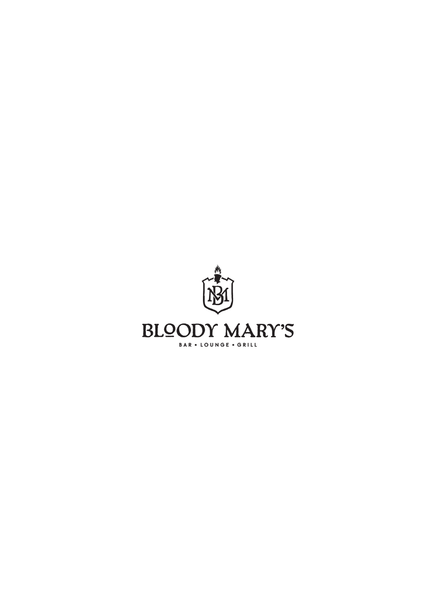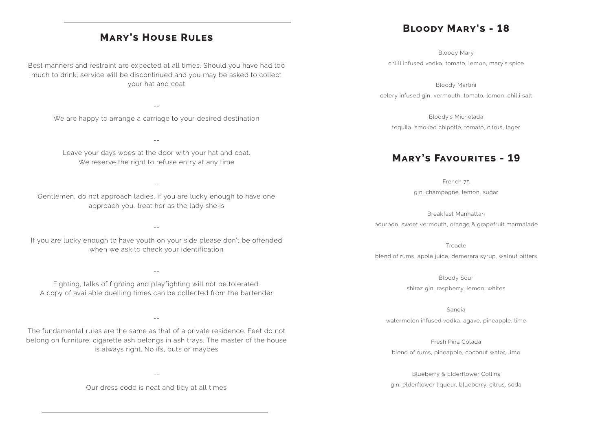## **Mary's House Rules**

Best manners and restraint are expected at all times. Should you have had too much to drink, service will be discontinued and you may be asked to collect your hat and coat

We are happy to arrange a carriage to your desired destination

Leave your days woes at the door with your hat and coat. We reserve the right to refuse entry at any time

--

--

--

Gentlemen, do not approach ladies, if you are lucky enough to have one approach you, treat her as the lady she is

--

If you are lucky enough to have youth on your side please don't be offended when we ask to check your identification

--

Fighting, talks of fighting and playfighting will not be tolerated. A copy of available duelling times can be collected from the bartender

--

The fundamental rules are the same as that of a private residence. Feet do not belong on furniture; cigarette ash belongs in ash trays. The master of the house is always right. No ifs, buts or maybes

--

Our dress code is neat and tidy at all times

## **Bloody Mary's - 18**

Bloody Mary chilli infused vodka, tomato, lemon, mary's spice

Bloody Martini celery infused gin, vermouth, tomato, lemon, chilli salt

Bloody's Michelada tequila, smoked chipotle, tomato, citrus, lager

## **Mary's Favourites - 19**

French 75 gin, champagne, lemon, sugar

Breakfast Manhattan bourbon, sweet vermouth, orange & grapefruit marmalade

Treacle blend of rums, apple juice, demerara syrup, walnut bitters

> Bloody Sour shiraz gin, raspberry, lemon, whites

Sandia watermelon infused vodka, agave, pineapple, lime

Fresh Pina Colada blend of rums, pineapple, coconut water, lime

Blueberry & Elderflower Collins gin, elderflower liqueur, blueberry, citrus, soda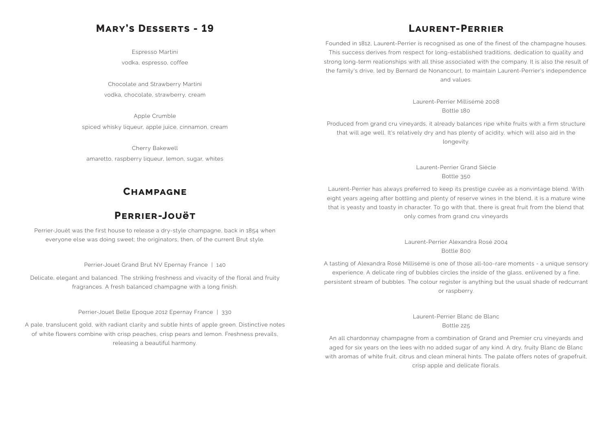## **Mary's Desserts - 19**

Espresso Martini vodka, espresso, coffee

Chocolate and Strawberry Martini vodka, chocolate, strawberry, cream

Apple Crumble spiced whisky liqueur, apple juice, cinnamon, cream

Cherry Bakewell amaretto, raspberry liqueur, lemon, sugar, whites

## **Champagne**

## **Perrier-Jouët**

Perrier-Jouët was the first house to release a dry-style champagne, back in 1854 when everyone else was doing sweet; the originators, then, of the current Brut style.

Perrier-Jouet Grand Brut NV Epernay France | 140

Delicate, elegant and balanced. The striking freshness and vivacity of the floral and fruity fragrances. A fresh balanced champagne with a long finish.

Perrier-Jouet Belle Epoque 2012 Epernay France | 330

A pale, translucent gold, with radiant clarity and subtle hints of apple green. Distinctive notes of white flowers combine with crisp peaches, crisp pears and lemon. Freshness prevails, releasing a beautiful harmony.

## **Laurent-Perrier**

Founded in 1812, Laurent-Perrier is recognised as one of the finest of the champagne houses. This success derives from respect for long-established traditions, dedication to quality and strong long-term reationships with all thise associated with the company. It is also the result of the family's drive, led by Bernard de Nonancourt, to maintain Laurent-Perrier's independence and values.

Laurent-Perrier Millisémé 2008 Bottle 180

Produced from grand cru vineyards, it already balances ripe white fruits with a firm structure that will age well. It's relatively dry and has plenty of acidity, which will also aid in the longevity.

Laurent-Perrier Grand Siécle Bottle 350

Laurent-Perrier has always preferred to keep its prestige cuvée as a nonvintage blend. With eight years ageing after bottling and plenty of reserve wines in the blend, it is a mature wine that is yeasty and toasty in character. To go with that, there is great fruit from the blend that only comes from grand cru vineyards

> Laurent-Perrier Alexandra Rosé 2004 Bottle 800

A tasting of Alexandra Rosé Millisémé is one of those all-too-rare moments - a unique sensory experience. A delicate ring of bubbles circles the inside of the glass, enlivened by a fine, persistent stream of bubbles. The colour register is anything but the usual shade of redcurrant or raspberry.

> Laurent-Perrier Blanc de Blanc Bottle 225

An all chardonnay champagne from a combination of Grand and Premier cru vineyards and aged for six years on the lees with no added sugar of any kind. A dry, fruity Blanc de Blanc with aromas of white fruit, citrus and clean mineral hints. The palate offers notes of grapefruit, crisp apple and delicate florals.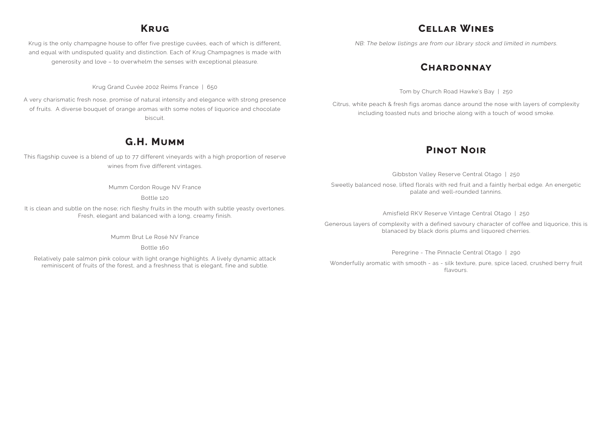## **Krug**

Krug is the only champagne house to offer five prestige cuvées, each of which is different, and equal with undisputed quality and distinction. Each of Krug Champagnes is made with generosity and love – to overwhelm the senses with exceptional pleasure.

Krug Grand Cuvée 2002 Reims France | 650

A very charismatic fresh nose, promise of natural intensity and elegance with strong presence of fruits. A diverse bouquet of orange aromas with some notes of liquorice and chocolate biscuit.

## **G.H. Mumm**

This flagship cuvee is a blend of up to 77 different vineyards with a high proportion of reserve wines from five different vintages.

Mumm Cordon Rouge NV France

Bottle 120

It is clean and subtle on the nose; rich fleshy fruits in the mouth with subtle yeasty overtones. Fresh, elegant and balanced with a long, creamy finish.

Mumm Brut Le Rosé NV France

Bottle 160

Relatively pale salmon pink colour with light orange highlights. A lively dynamic attack reminiscent of fruits of the forest, and a freshness that is elegant, fine and subtle.

### **Cellar Wines**

NB: The below listings are from our library stock and limited in numbers.

## **Chardonnay**

Tom by Church Road Hawke's Bay | 250

Citrus, white peach & fresh figs aromas dance around the nose with layers of complexity including toasted nuts and brioche along with a touch of wood smoke.

## **Pinot Noir**

Gibbston Valley Reserve Central Otago | 250 Sweetly balanced nose, lifted florals with red fruit and a faintly herbal edge. An energetic palate and well-rounded tannins.

Amisfield RKV Reserve Vintage Central Otago | 250

Generous layers of complexity with a defined savoury character of coffee and liquorice, this is blanaced by black doris plums and liquored cherries.

Peregrine - The Pinnacle Central Otago | 290

Wonderfully aromatic with smooth - as - silk texture, pure, spice laced, crushed berry fruit flavours.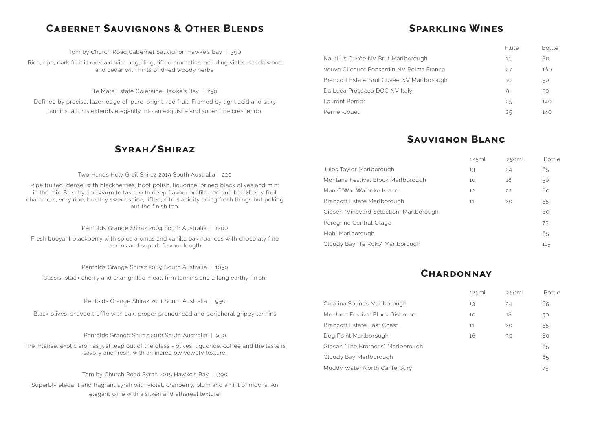## **Cabernet Sauvignons & Other Blends**

Tom by Church Road Cabernet Sauvignon Hawke's Bay | 390

Rich, ripe, dark fruit is overlaid with beguiling, lifted aromatics including violet, sandalwood and cedar with hints of dried woody herbs.

Te Mata Estate Coleraine Hawke's Bay | 250

Defined by precise, lazer-edge of, pure, bright, red fruit. Framed by tight acid and silky tannins, all this extends elegantly into an exquisite and super fine crescendo.

### **Syrah/Shiraz**

Two Hands Holy Grail Shiraz 2019 South Australia | 220

Ripe fruited, dense, with blackberries, boot polish, liquorice, brined black olives and mint in the mix. Breathy and warm to taste with deep flavour profile, red and blackberry fruit characters, very ripe, breathy sweet spice, lifted, citrus acidity doing fresh things but poking out the finish too.

Penfolds Grange Shiraz 2004 South Australia | 1200

Fresh buoyant blackberry with spice aromas and vanilla oak nuances with chocolaty fine tannins and superb flavour length.

Penfolds Grange Shiraz 2009 South Australia | 1050

Cassis, black cherry and char-grilled meat, firm tannins and a long earthy finish.

Penfolds Grange Shiraz 2011 South Australia | 950

Black olives, shaved truffle with oak, proper pronounced and peripheral grippy tannins

Penfolds Grange Shiraz 2012 South Australia | 950

The intense, exotic aromas just leap out of the glass - olives, liquorice, coffee and the taste is savory and fresh, with an incredibly velvety texture.

Tom by Church Road Syrah 2015 Hawke's Bay | 390

Superbly elegant and fragrant syrah with violet, cranberry, plum and a hint of mocha. An elegant wine with a silken and ethereal texture.

## **Sparkling Wines**

Nautilus Cuvée NV Brut Marlborough Veuve Clicquot Ponsardin NV Reims France Brancott Estate Brut Cuvée NV Marlborough Da Luca Prosecco DOC NV Italy Laurent Perrier Perrier-Jouet

Jules Taylor Marlborough Montana Festival Block Marlborough Man O'War Waiheke Island Brancott Estate Marlborough Giesen "Vineyard Selection" Marlborough Peregrine Central Otago Mahi Marlborough Cloudy Bay 'Te Koko' Marlborough

Catalina Sounds Marlborough Montana Festival Block Gisborne Brancott Estate East Coast Dog Point Marlborough Giesen "The Brother's" Marlborough Cloudy Bay Marlborough Muddy Water North Canterbury 75

## **Sauvignon Blanc**

### **Chardonnay**

| 125ml | 250ml | <b>Bottle</b> |
|-------|-------|---------------|
| 13    | 24    | 65            |
| 10    | 18    | 50            |
| 11    | 20    | 55            |
| 16    | 30    | 80            |
|       |       | 65            |
|       |       | 85            |
|       |       |               |

| 125ml | 250ml | <b>Bottle</b> |
|-------|-------|---------------|
| 13    | 24    | 65            |
| 10    | 18    | 50            |
| 12    | 22    | 60            |
| 11    | 20    | 55            |
|       |       | 60            |
|       |       | 75            |
|       |       | 65            |
|       |       | 115           |

| Flute    | Bottle |
|----------|--------|
| 15       | 80     |
| 27       | 160    |
| 10       | 50     |
| $\Theta$ | 50     |
| 25       | 140    |
| 25       | 140    |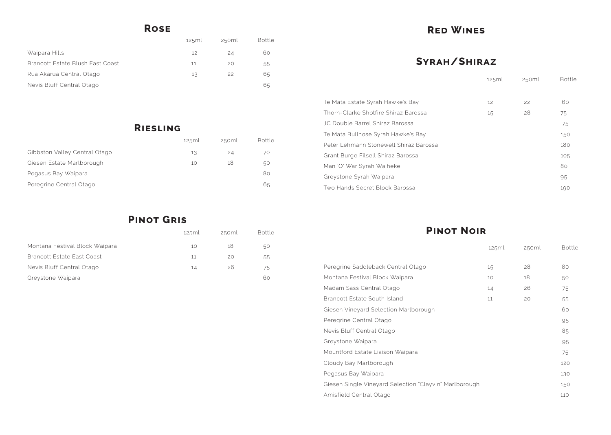## **Rose**

| 125ml | 250ml | Bottle |
|-------|-------|--------|
| 12    | 24    | 60     |
| 11    | 20    | 55     |
| 13    | 22    | 65     |
|       |       | 65     |
|       |       |        |

# **Riesling**

**Pinot Gris**

|                               | 125ml | 250ml | <b>Bottle</b> |
|-------------------------------|-------|-------|---------------|
| Gibbston Valley Central Otago | 13    | 24    | 70            |
| Giesen Estate Marlborough     | 10    | 18    | 50            |
| Pegasus Bay Waipara           |       |       | 80            |
| Peregrine Central Otago       |       |       | 65            |

|                                | 125ml | 250ml | <b>Bottle</b> |
|--------------------------------|-------|-------|---------------|
| Montana Festival Block Waipara | 10    | 18    | 50            |
| Brancott Estate East Coast     | 11    | 20    | 55            |
| Nevis Bluff Central Otago      | 14    | 26    | 75            |
| Greystone Waipara              |       |       | 60            |

## **Red Wines**

## **Syrah/Shiraz**

| Te Mata Estate Syrah Hawke's Bay       | 12 | 22 | 60  |
|----------------------------------------|----|----|-----|
| Thorn-Clarke Shotfire Shiraz Barossa   | 15 | 28 | 75  |
| JC Double Barrel Shiraz Barossa        |    |    | 75  |
| Te Mata Bullnose Syrah Hawke's Bay     |    |    | 150 |
| Peter Lehmann Stonewell Shiraz Barossa |    |    | 180 |
| Grant Burge Filsell Shiraz Barossa     |    |    | 105 |
| Man 'O' War Syrah Waiheke              |    |    | 80  |
| Greystone Syrah Waipara                |    |    | 95  |
| Two Hands Secret Block Barossa         |    |    | 190 |

**Pinot Noir**

| Peregrine Saddleback Central Otago                     | 15 | 28 | 80  |
|--------------------------------------------------------|----|----|-----|
| Montana Festival Block Waipara                         | 10 | 18 | 50  |
| Madam Sass Central Otago                               | 14 | 26 | 75  |
| <b>Brancott Estate South Island</b>                    | 11 | 20 | 55  |
| Giesen Vineyard Selection Marlborough                  |    |    | 60  |
| Peregrine Central Otago                                |    |    | 95  |
| Nevis Bluff Central Otago                              |    |    | 85  |
| Greystone Waipara                                      |    |    | 95  |
| Mountford Estate Liaison Waipara                       |    |    | 75  |
| Cloudy Bay Marlborough                                 |    |    | 120 |
| Pegasus Bay Waipara                                    |    |    | 130 |
| Giesen Single Vineyard Selection "Clayvin" Marlborough |    |    | 150 |
| Amisfield Central Otago                                |    |    | 110 |
|                                                        |    |    |     |

| 125ml | 250ml | <b>Bottle</b> |
|-------|-------|---------------|
|       |       |               |
| 12    | 22    | 60            |
| 15    | 28    | 75            |
|       |       | 75            |
|       |       | 150           |
|       |       | 180           |
|       |       | 105           |
|       |       | 80            |
|       |       | 95            |
|       |       | 190           |

|        | 125ml | 250ml | <b>Bottle</b> |
|--------|-------|-------|---------------|
|        |       |       |               |
|        | 15    | 28    | 80            |
|        | 10    | 18    | 50            |
|        | 14    | 26    | 75            |
|        | 11    | 20    | 55            |
|        |       |       | 60            |
|        |       |       | 95            |
|        |       |       | 85            |
|        |       |       | 95            |
|        |       |       | 75            |
|        |       |       | 120           |
|        |       |       | 130           |
| orough |       |       | 150           |
|        |       |       | 110           |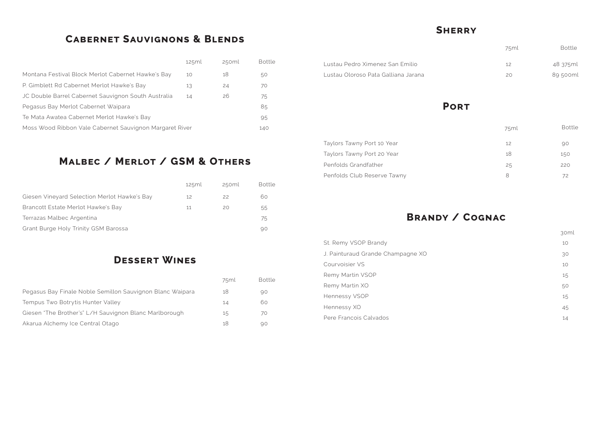## **Cabernet Sauvignons & Blends**

## **Malbec / Merlot / GSM & Others**

|                                                         | 125ml | 250ml | <b>Bottle</b> |
|---------------------------------------------------------|-------|-------|---------------|
| Montana Festival Block Merlot Cabernet Hawke's Bay      | 10    | 18    | 50            |
| P. Gimblett Rd Cabernet Merlot Hawke's Bay              | 13    | 24    | 70            |
| JC Double Barrel Cabernet Sauvignon South Australia     | 14    | 26    | 75            |
| Pegasus Bay Merlot Cabernet Waipara                     |       |       | 85            |
| Te Mata Awatea Cabernet Merlot Hawke's Bay              |       |       | 95            |
| Moss Wood Ribbon Vale Cabernet Sauvignon Margaret River |       |       | 140           |

## **Dessert Wines**

|                                              | 125ml | 250ml | <b>Bottle</b> |
|----------------------------------------------|-------|-------|---------------|
| Giesen Vineyard Selection Merlot Hawke's Bay | 12    | 22    | 60            |
| Brancott Estate Merlot Hawke's Bay           | 11    | 20    | 55            |
| Terrazas Malbec Argentina                    |       |       | 75            |
| Grant Burge Holy Trinity GSM Barossa         |       |       | 90            |

|                                                           | 75ml | <b>Bottle</b> |
|-----------------------------------------------------------|------|---------------|
| Pegasus Bay Finale Noble Semillon Sauvignon Blanc Waipara | 18   | 90            |
| Tempus Two Botrytis Hunter Valley                         | 14   | 60            |
| Giesen "The Brother's" L/H Sauvignon Blanc Marlborough    | 15   | 70            |
| Akarua Alchemy Ice Central Otago                          | 18   | 90            |

Lustau Pedro Ximenez San Emilio Lustau Oloroso Pata Galliana Jarana

Taylors Tawny Port 10 Year Taylors Tawny Port 20 Year Penfolds Grandfather Penfolds Club Reserve Tawny

## **Sherry**

## **Port**

## **Brandy / Cognac**

| St. Remy VSOP Brandy              | 10 |
|-----------------------------------|----|
| J. Painturaud Grande Champagne XO | 30 |
| Courvoisier VS                    | 10 |
| Remy Martin VSOP                  | 15 |
| Remy Martin XO                    | 50 |
| <b>Hennessy VSOP</b>              | 15 |
| Hennessy XO                       | 45 |
| Pere Francois Calvados            | 14 |

| 75ml | Bottle |
|------|--------|
| 12   | 90     |
| 18   | 150    |
| 25   | 220    |
| 8    | 72     |

| 75ml | Bottle   |
|------|----------|
| 12   | 48 375ml |
| 20   | 89 500ml |

| 30ml |
|------|
| 10   |
| 30   |
| 10   |
| 15   |
| 50   |
| 15   |
| 45   |
| 14   |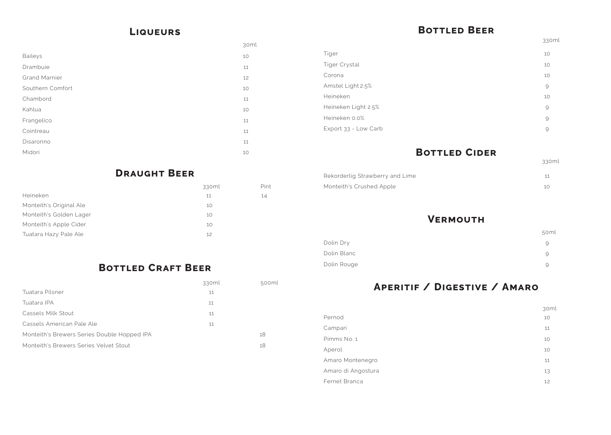### **Liqueurs**

|                      | $\cup$ $\sim$ |
|----------------------|---------------|
| <b>Baileys</b>       | 10            |
| Drambuie             | 11            |
| <b>Grand Marnier</b> | 12            |
| Southern Comfort     | 10            |
| Chambord             | 11            |
| Kahlua               | 10            |
| Frangelico           | 11            |
| Cointreau            | 11            |
| Disaronno            | 11            |
| Midori               | 10            |

## **Draught Beer**

| 14 |
|----|
|    |
|    |
|    |
|    |
|    |

## **Bottled Craft Beer**

|                                             | 330ml | 500ml |
|---------------------------------------------|-------|-------|
| Tuatara Pilsner                             | 11    |       |
| Tuatara IPA                                 | 11    |       |
| Cassels Milk Stout                          | 11    |       |
| Cassels American Pale Ale                   | 11    |       |
| Monteith's Brewers Series Double Hopped IPA |       | 18    |
| Monteith's Brewers Series Velvet Stout      |       | 18    |

## **Bottled Beer**

| 30ml   |                      | 33       |
|--------|----------------------|----------|
| 10     | Tiger                | 10       |
| 11     | Tiger Crystal        | 10       |
| 12     | Corona               | 10       |
| 10     | Amstel Light 2.5%    | $\Theta$ |
| 11     | Heineken             | 10       |
| 10     | Heineken Light 2.5%  | $\Theta$ |
| 11     | Heineken 0.0%        | $\Theta$ |
| 11     | Export 33 - Low Carb | $\Theta$ |
| 11     |                      |          |
| $\sim$ | DATTLEB CIREB        |          |

## **Bottled Cider**

| Rekorderlig Strawberry and Lime |  |
|---------------------------------|--|
| Monteith's Crushed Apple        |  |

| Dolin Dry |             |
|-----------|-------------|
|           | Dolin Blanc |
|           | Dolin Rouge |

Pint

## **Vermouth**

## **Aperitif / Digestive / Amaro**

|             | 50ml |
|-------------|------|
| Dolin Dry   | 9    |
| Dolin Blanc | 9    |
| Dolin Rouge | 9    |
|             |      |

|                    | 30 |
|--------------------|----|
| Pernod             | 10 |
| Campari            | 11 |
| Pimms No. 1        | 10 |
| Aperol             | 10 |
| Amaro Montenegro   | 11 |
| Amaro di Angostura | 13 |
| Fernet Branca      | 12 |

|--|

330ml

| 30ml |  |
|------|--|
| 10   |  |
| 11   |  |
| 10   |  |
| 10   |  |
| 11   |  |
| 13   |  |
| 12   |  |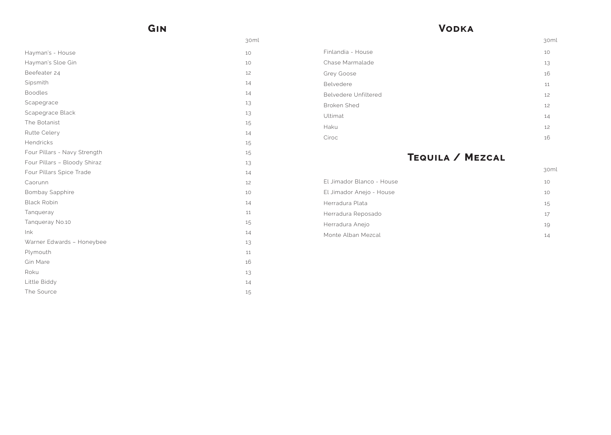## **Gin**

| 30ml |                             | 30 |
|------|-----------------------------|----|
| 10   | Finlandia - House           | 10 |
| 10   | Chase Marmalade             | 13 |
| 12   | Grey Goose                  | 16 |
| 14   | Belvedere                   | 11 |
| 14   | <b>Belvedere Unfiltered</b> | 12 |
| 13   | <b>Broken Shed</b>          | 12 |
| 13   | Ultimat                     | 14 |
| 15   | Haku                        | 12 |
| 14   | Ciroc                       | 16 |

| Hayman's - House             | 10 |
|------------------------------|----|
| Hayman's Sloe Gin            | 10 |
| Beefeater 24                 | 12 |
| Sipsmith                     | 14 |
| <b>Boodles</b>               | 14 |
| Scapegrace                   | 13 |
| Scapegrace Black             | 13 |
| The Botanist                 | 15 |
| Rutte Celery                 | 14 |
| Hendricks                    | 15 |
| Four Pillars - Navy Strength | 15 |
| Four Pillars - Bloody Shiraz | 13 |
| Four Pillars Spice Trade     | 14 |
| Caorunn                      | 12 |
| <b>Bombay Sapphire</b>       | 10 |
| <b>Black Robin</b>           | 14 |
| Tanqueray                    | 11 |
| Tanqueray No.10              | 15 |
| lnk                          | 14 |
| Warner Edwards - Honeybee    | 13 |
| Plymouth                     | 11 |
| <b>Gin Mare</b>              | 16 |
| Roku                         | 13 |
| Little Biddy                 | 14 |
| The Source                   | 15 |

## **Vodka**

## **Tequila / Mezcal**

| El Jimador Blanco - House | 10 |
|---------------------------|----|
| El Jimador Anejo - House  | 10 |
| Herradura Plata           | 15 |
| Herradura Reposado        | 17 |
| Herradura Anejo           | 19 |
| Monte Alban Mezcal        | 14 |
|                           |    |

30ml

30ml

- 
- 
- 
- 
-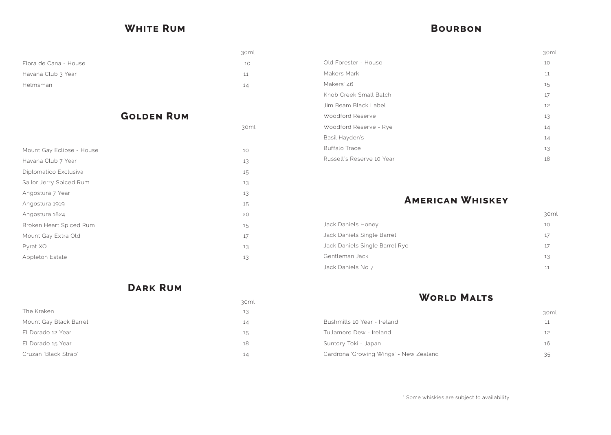## **White Rum**

| Flora de Cana - House | 10 |
|-----------------------|----|
| Havana Club 3 Year    | 11 |
| Helmsman              | 14 |
|                       |    |

## **Golden Rum**

| Mount Gay Eclipse - House | 10 |
|---------------------------|----|
| Havana Club 7 Year        | 13 |
| Diplomatico Exclusiva     | 15 |
| Sailor Jerry Spiced Rum   | 13 |
| Angostura 7 Year          | 13 |
| Angostura 1919            | 15 |
| Angostura 1824            | 20 |
| Broken Heart Spiced Rum   | 15 |
| Mount Gay Extra Old       | 17 |
| Pyrat XO                  | 13 |
| <b>Appleton Estate</b>    | 13 |

**Dark Rum** 

|                        | . 7 U I |
|------------------------|---------|
| The Kraken             | 13      |
| Mount Gay Black Barrel | 14      |
| El Dorado 12 Year      | 15      |
| El Dorado 15 Year      | 18      |
| Cruzan 'Black Strap'   | 14      |

30ml

30ml

## **Bourbon**

|                           | კ∪ |
|---------------------------|----|
| Old Forester - House      | 10 |
| Makers Mark               | 11 |
| Makers' 46                | 15 |
| Knob Creek Small Batch    | 17 |
| Jim Beam Black Label      | 12 |
| Woodford Reserve          | 13 |
| Woodford Reserve - Rye    | 14 |
| Basil Hayden's            | 14 |
| <b>Buffalo Trace</b>      | 13 |
| Russell's Reserve 10 Year | 18 |
|                           |    |

## **American Whiskey**

| <b>Jack Daniels Honey</b>      | 10 |
|--------------------------------|----|
| Jack Daniels Single Barrel     | 17 |
| Jack Daniels Single Barrel Rye | 17 |
| Gentleman Jack                 | 13 |
| Jack Daniels No 7              | 11 |

## **World Malts**

|                                        | $\sim$ |
|----------------------------------------|--------|
| Bushmills 10 Year - Ireland            | 11     |
| Tullamore Dew - Ireland                | 12     |
| Suntory Toki - Japan                   | 16     |
| Cardrona 'Growing Wings' - New Zealand | 35     |

\* Some whiskies are subject to availability

| 30ml |  |
|------|--|
| 10   |  |
| 17   |  |
| 17   |  |
| 13   |  |
| 11   |  |
|      |  |

| 30ml |
|------|
| 10   |
| 11   |
| 15   |
| 17   |
| 12   |
| 13   |
| 14   |
| 14   |
| 13   |
| 18   |

| 30ml |
|------|
| 11   |
| 12   |
| 16   |
| 35   |

30ml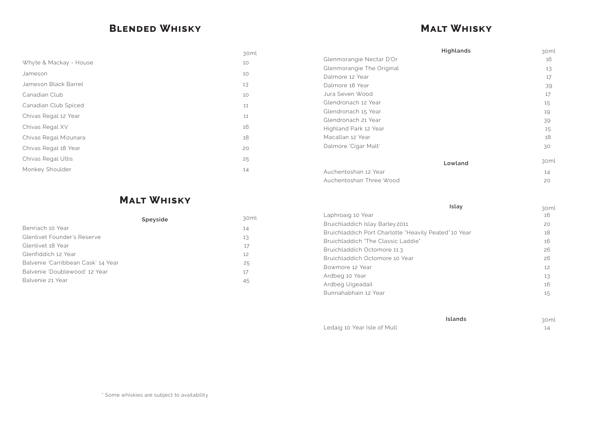## **Blended Whisky**

## **Malt Whisky**

|                        | 30ml | Highlands                 | 30n |
|------------------------|------|---------------------------|-----|
| Whyte & Mackay - House | 10   | Glenmorangie Nectar D'Or  | 16  |
|                        |      | Glenmorangie The Original | 13  |
| Jameson                | 10   | Dalmore 12 Year           | 17  |
| Jameson Black Barrel   | 13   | Dalmore 18 Year           | 39  |
| Canadian Club          | 10   | Jura Seven Wood           | 17  |
| Canadian Club Spiced   | 11   | Glendronach 12 Year       | 15  |
|                        |      | Glendronach 15 Year       | 19  |
| Chivas Regal 12 Year   | 11   | Glendronach 21 Year       | 39  |
| Chivas Regal XV        | 16   | Highland Park 12 Year     | 15  |
| Chivas Regal Mizunara  | 18   | Macallan 12 Year          | 18  |
| Chivas Regal 18 Year   | 20   | Dalmore 'Cigar Malt'      | 30  |
| Chivas Regal Ultis     | 25   | Lowland                   | 30n |
| Monkey Shoulder        | 14   | Auchentoshan 12 Year      | 14  |
|                        |      | Auchentoshan Three Wood   | 20  |

## **Malt Whisky**

|                                    |      | .                                                |
|------------------------------------|------|--------------------------------------------------|
| Speyside                           | 30ml | Laphroaig 10 Year                                |
|                                    |      | Bruichladdich Islay Barley 2011                  |
| Benriach 10 Year                   | 14   | Bruichladdich Port Charlotte "Heavily Peated" 10 |
| Glenlivet Founder's Reserve        | 13   |                                                  |
| Glenlivet 18 Year                  | 17   | Bruichladdich "The Classic Laddie"               |
|                                    |      | Bruichladdich Octomore 11.3                      |
| Glenfiddich 12 Year                | 12   | Bruichladdich Octomore 10 Year                   |
| Balvenie 'Carribbean Cask' 14 Year | 25   | Bowmore 12 Year                                  |
| Balvenie 'Doublewood' 12 Year      | 17   |                                                  |
| Balvenie 21 Year                   |      | Ardbeg 10 Year                                   |
|                                    | 45   | Ardbeg Uigeadail                                 |
|                                    |      |                                                  |

| <b>Highlands</b>                                      | 30ml       |
|-------------------------------------------------------|------------|
| Glenmorangie Nectar D'Or                              | 16         |
| Glenmorangie The Original                             | 13         |
| Dalmore 12 Year                                       | 17         |
| Dalmore 18 Year                                       | 39         |
| Jura Seven Wood                                       | 17         |
| Glendronach 12 Year                                   | 15         |
| Glendronach 15 Year                                   | 19         |
| Glendronach 21 Year                                   | 39         |
| Highland Park 12 Year                                 | 15         |
| Macallan 12 Year                                      | 18         |
| Dalmore 'Cigar Malt'                                  | 30         |
| Lowland                                               | 30ml       |
| Auchentoshan 12 Year                                  | 14         |
| Auchentoshan Three Wood                               | 20         |
| Islay                                                 | 30ml       |
| Laphroaig 10 Year                                     | 16         |
| Bruichladdich Islay Barley 2011                       | 20         |
| Bruichladdich Port Charlotte "Heavily Peated" 10 Year | 18         |
| Bruichladdich "The Classic Laddie"                    | 16         |
| Bruichladdich Octomore 11.3                           | 26         |
| Bruichladdich Octomore 10 Year                        | 26         |
| Bowmore 12 Year                                       | 12         |
| Ardbeg 10 Year                                        | 13         |
| Ardbeg Uigeadail                                      | 16         |
| Bunnahabhain 12 Year                                  | 15         |
| Islands                                               |            |
| Ledaig 10 Year Isle of Mull                           | 30ml<br>14 |
|                                                       |            |